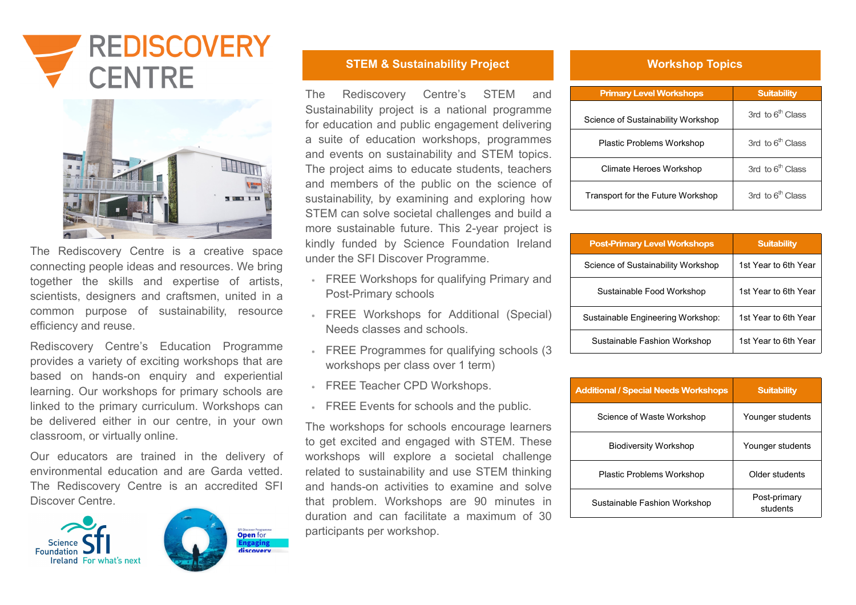| <b>Primary Level Workshops</b>      | <b>Suitability</b>    |
|-------------------------------------|-----------------------|
| Science of Sustainability Workshop  | 3rd to $6th$ Class    |
| <b>Plastic Problems Workshop</b>    | 3rd to $6th$ Class    |
| Climate Heroes Workshop             | 3rd to $6th$ Class    |
| Transport for the Future Workshop   | 3rd to $6th$ Class    |
|                                     |                       |
| <b>Post-Primary Level Workshops</b> | <b>Suitability</b>    |
| Science of Suctainability Workchon  | 1et Vaar to 6th Vaar. |

| <b>Post-Primary Level Workshops</b> | <b>Suitability</b>   |
|-------------------------------------|----------------------|
| Science of Sustainability Workshop  | 1st Year to 6th Year |
| Sustainable Food Workshop           | 1st Year to 6th Year |
| Sustainable Engineering Workshop:   | 1st Year to 6th Year |
| Sustainable Fashion Workshop        | 1st Year to 6th Year |
|                                     |                      |

| <b>Additional / Special Needs Workshops</b> | <b>Suitability</b>       |
|---------------------------------------------|--------------------------|
| Science of Waste Workshop                   | Younger students         |
| <b>Biodiversity Workshop</b>                | Younger students         |
| <b>Plastic Problems Workshop</b>            | Older students           |
| Sustainable Fashion Workshop                | Post-primary<br>students |





The Rediscovery Centre is a creative space connecting people ideas and resources. We bring together the skills and expertise of artists, scientists, designers and craftsmen, united in a common purpose of sustainability, resource efficiency and reuse.

- FREE Workshops for qualifying Primary and Post-Primary schools
- FREE Workshops for Additional (Special) Needs classes and schools.
- FREE Programmes for qualifying schools (3 workshops per class over 1 term)
- FREE Teacher CPD Workshops.
- **FREE Events for schools and the public.**

Rediscovery Centre's Education Programme provides a variety of exciting workshops that are based on hands-on enquiry and experiential learning. Our workshops for primary schools are linked to the primary curriculum. Workshops can be delivered either in our centre, in your own classroom, or virtually online.

Our educators are trained in the delivery of environmental education and are Garda vetted. The Rediscovery Centre is an accredited SFI Discover Centre.





ngaging

**STEM & Sustainability Project Access 10 Morkshop Topics** 

The Rediscovery Centre's STEM and Sustainability project is a national programme for education and public engagement delivering a suite of education workshops, programmes and events on sustainability and STEM topics. The project aims to educate students, teachers and members of the public on the science of sustainability, by examining and exploring how STEM can solve societal challenges and build a more sustainable future. This 2-year project is kindly funded by Science Foundation Ireland under the SFI Discover Programme.

The workshops for schools encourage learners to get excited and engaged with STEM. These workshops will explore a societal challenge related to sustainability and use STEM thinking and hands-on activities to examine and solve that problem. Workshops are 90 minutes in duration and can facilitate a maximum of 30 participants per workshop.